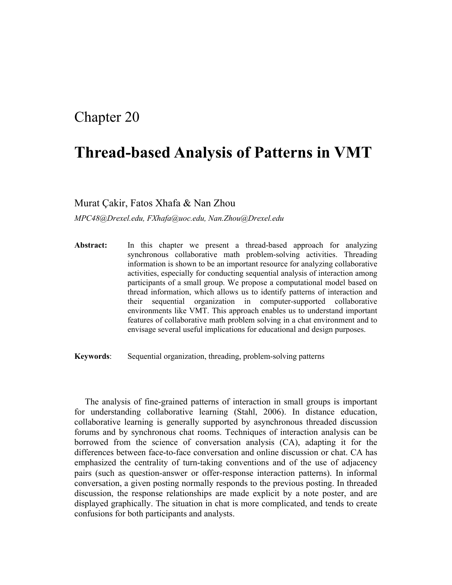## Chapter 20

# **Thread-based Analysis of Patterns in VMT**

Murat Çakir, Fatos Xhafa & Nan Zhou

*MPC48@Drexel.edu, FXhafa@uoc.edu, Nan.Zhou@Drexel.edu*

**Abstract:** In this chapter we present a thread-based approach for analyzing synchronous collaborative math problem-solving activities. Threading information is shown to be an important resource for analyzing collaborative activities, especially for conducting sequential analysis of interaction among participants of a small group. We propose a computational model based on thread information, which allows us to identify patterns of interaction and their sequential organization in computer-supported collaborative environments like VMT. This approach enables us to understand important features of collaborative math problem solving in a chat environment and to envisage several useful implications for educational and design purposes.

**Keywords**: Sequential organization, threading, problem-solving patterns

The analysis of fine-grained patterns of interaction in small groups is important for understanding collaborative learning (Stahl, 2006). In distance education, collaborative learning is generally supported by asynchronous threaded discussion forums and by synchronous chat rooms. Techniques of interaction analysis can be borrowed from the science of conversation analysis (CA), adapting it for the differences between face-to-face conversation and online discussion or chat. CA has emphasized the centrality of turn-taking conventions and of the use of adjacency pairs (such as question-answer or offer-response interaction patterns). In informal conversation, a given posting normally responds to the previous posting. In threaded discussion, the response relationships are made explicit by a note poster, and are displayed graphically. The situation in chat is more complicated, and tends to create confusions for both participants and analysts.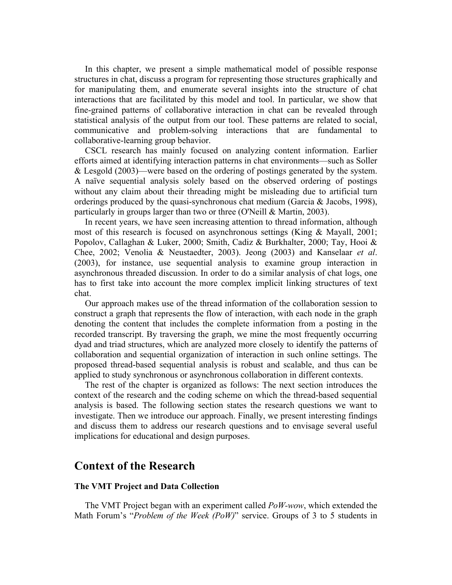In this chapter, we present a simple mathematical model of possible response structures in chat, discuss a program for representing those structures graphically and for manipulating them, and enumerate several insights into the structure of chat interactions that are facilitated by this model and tool. In particular, we show that fine-grained patterns of collaborative interaction in chat can be revealed through statistical analysis of the output from our tool. These patterns are related to social, communicative and problem-solving interactions that are fundamental to collaborative-learning group behavior.

CSCL research has mainly focused on analyzing content information. Earlier efforts aimed at identifying interaction patterns in chat environments—such as Soller & Lesgold (2003)—were based on the ordering of postings generated by the system. A naïve sequential analysis solely based on the observed ordering of postings without any claim about their threading might be misleading due to artificial turn orderings produced by the quasi-synchronous chat medium (Garcia  $\&$  Jacobs, 1998), particularly in groups larger than two or three (O'Neill & Martin, 2003).

In recent years, we have seen increasing attention to thread information, although most of this research is focused on asynchronous settings (King & Mayall, 2001; Popolov, Callaghan & Luker, 2000; Smith, Cadiz & Burkhalter, 2000; Tay, Hooi & Chee, 2002; Venolia & Neustaedter, 2003). Jeong (2003) and Kanselaar *et al*. (2003), for instance, use sequential analysis to examine group interaction in asynchronous threaded discussion. In order to do a similar analysis of chat logs, one has to first take into account the more complex implicit linking structures of text chat.

Our approach makes use of the thread information of the collaboration session to construct a graph that represents the flow of interaction, with each node in the graph denoting the content that includes the complete information from a posting in the recorded transcript. By traversing the graph, we mine the most frequently occurring dyad and triad structures, which are analyzed more closely to identify the patterns of collaboration and sequential organization of interaction in such online settings. The proposed thread-based sequential analysis is robust and scalable, and thus can be applied to study synchronous or asynchronous collaboration in different contexts.

The rest of the chapter is organized as follows: The next section introduces the context of the research and the coding scheme on which the thread-based sequential analysis is based. The following section states the research questions we want to investigate. Then we introduce our approach. Finally, we present interesting findings and discuss them to address our research questions and to envisage several useful implications for educational and design purposes.

### **Context of the Research**

### **The VMT Project and Data Collection**

The VMT Project began with an experiment called *PoW-wow*, which extended the Math Forum's "*Problem of the Week (PoW)*" service. Groups of 3 to 5 students in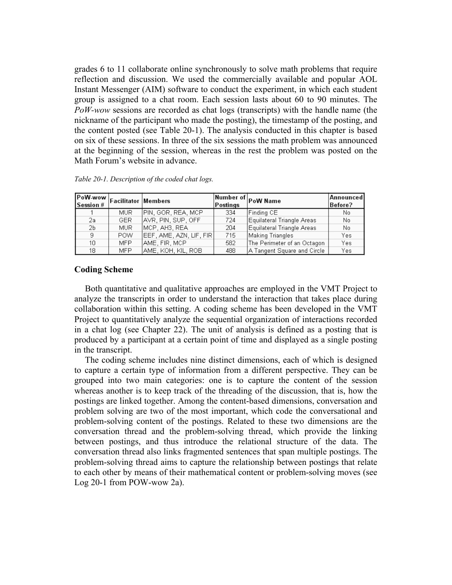grades 6 to 11 collaborate online synchronously to solve math problems that require reflection and discussion. We used the commercially available and popular AOL Instant Messenger (AIM) software to conduct the experiment, in which each student group is assigned to a chat room. Each session lasts about 60 to 90 minutes. The *PoW-wow* sessions are recorded as chat logs (transcripts) with the handle name (the nickname of the participant who made the posting), the timestamp of the posting, and the content posted (see Table 20-1). The analysis conducted in this chapter is based on six of these sessions. In three of the six sessions the math problem was announced at the beginning of the session, whereas in the rest the problem was posted on the Math Forum's website in advance.

| Table 20-1. Description of the coded chat logs. |  |  |  |  |
|-------------------------------------------------|--|--|--|--|
|-------------------------------------------------|--|--|--|--|

| PoW-wow Facilitator Members<br>Session # |            |                           | Number of PoW Name<br>Postings |                             |     |  |  |
|------------------------------------------|------------|---------------------------|--------------------------------|-----------------------------|-----|--|--|
|                                          | MUR.       | IPIN, GOR, REA, MCP.      | 334                            | Finding CE                  | No  |  |  |
| 2a                                       | GER.       | IAVR, PIN, SUP, OFF       | 724                            | Equilateral Triangle Areas  | No  |  |  |
| 2b                                       | MUR.       | IMCP, AH3, REA            | 204                            | Equilateral Triangle Areas  | No  |  |  |
| 9                                        | <b>POW</b> | [EEF, AME, AZN, LIF, FIR] | 715                            | Making Triangles            | Yes |  |  |
| 10                                       | MFP.       | AME, FIR, MCP             | 582                            | The Perimeter of an Octagon | Yes |  |  |
| 18                                       | MFP.       | AME, KOH, KIL, ROB        | 488                            | A Tangent Square and Circle | Yes |  |  |

### **Coding Scheme**

Both quantitative and qualitative approaches are employed in the VMT Project to analyze the transcripts in order to understand the interaction that takes place during collaboration within this setting. A coding scheme has been developed in the VMT Project to quantitatively analyze the sequential organization of interactions recorded in a chat log (see Chapter 22). The unit of analysis is defined as a posting that is produced by a participant at a certain point of time and displayed as a single posting in the transcript.

The coding scheme includes nine distinct dimensions, each of which is designed to capture a certain type of information from a different perspective. They can be grouped into two main categories: one is to capture the content of the session whereas another is to keep track of the threading of the discussion, that is, how the postings are linked together. Among the content-based dimensions, conversation and problem solving are two of the most important, which code the conversational and problem-solving content of the postings. Related to these two dimensions are the conversation thread and the problem-solving thread, which provide the linking between postings, and thus introduce the relational structure of the data. The conversation thread also links fragmented sentences that span multiple postings. The problem-solving thread aims to capture the relationship between postings that relate to each other by means of their mathematical content or problem-solving moves (see Log 20-1 from POW-wow 2a).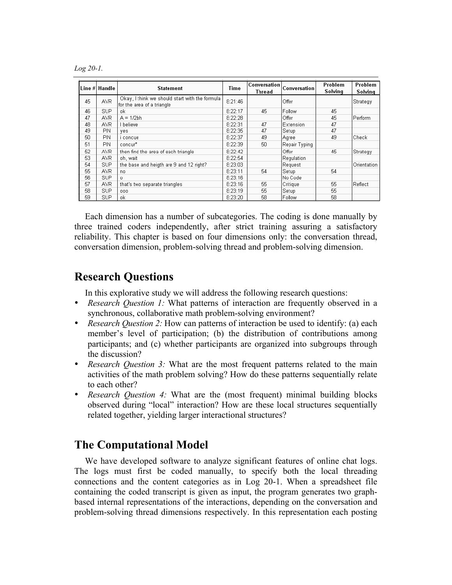| Ωσ | ı |
|----|---|
|----|---|

|    | Line #  Handle | <b>Statement</b>                                                             | Time    | Conversation<br>Thread | Conversation     | Problem<br>Solving | Problem<br>Solving |
|----|----------------|------------------------------------------------------------------------------|---------|------------------------|------------------|--------------------|--------------------|
| 45 | <b>AVR</b>     | Okay, I think we should start with the formula<br>for the area of a triangle | 8:21:46 |                        | Offer            |                    | Strategy           |
| 46 | SUP            | οk                                                                           | 8:22:17 | 45                     | Follow           | 45                 |                    |
| 47 | <b>AVR</b>     | $A = 1/2bh$                                                                  | 8:22:28 |                        | Offer            | 45                 | <b>Perform</b>     |
| 48 | <b>AVR</b>     | l believe                                                                    | 8:22:31 | 47                     | <b>Extension</b> | 47                 |                    |
| 49 | <b>PIN</b>     | yes.                                                                         | 8:22:35 | 47                     | Setup            | 47                 |                    |
| 50 | <b>PIN</b>     | i concue                                                                     | 8:22:37 | 49                     | Agree            | 49                 | lCheck.            |
| 51 | <b>PIN</b>     | concur <sup>*</sup>                                                          | 8:22:39 | 50                     | Repair Typing    |                    |                    |
| 52 | <b>AVR</b>     | then find the area of each triangle                                          | 8:22:42 |                        | Offer            | 45                 | Strategy           |
| 53 | <b>AVR</b>     | oh, wait                                                                     | 8:22:54 |                        | Regulation       |                    |                    |
| 54 | SUP            | the base and heigth are 9 and 12 right?                                      | 8:23:03 |                        | Request          |                    | Orientation        |
| 55 | <b>AVR</b>     | nn.                                                                          | 8:23:11 | 54                     | Setup.           | 54                 |                    |
| 56 | <b>SUP</b>     | 0.                                                                           | 8:23:16 |                        | INo Code         |                    |                    |
| 57 | AVR            | that's two separate triangles                                                | 8:23:16 | 55                     | Critique         | 55.                | Reflect            |
| 58 | SUP            | 000                                                                          | 8:23:19 | 55                     | Setup            | 55                 |                    |
| 59 | SUP            | οk                                                                           | 8:23:20 | 58                     | Follow           | 58                 |                    |

Each dimension has a number of subcategories. The coding is done manually by three trained coders independently, after strict training assuring a satisfactory reliability. This chapter is based on four dimensions only: the conversation thread, conversation dimension, problem-solving thread and problem-solving dimension.

### **Research Questions**

In this explorative study we will address the following research questions:

- *Research Question 1:* What patterns of interaction are frequently observed in a synchronous, collaborative math problem-solving environment?
- *Research Question 2:* How can patterns of interaction be used to identify: (a) each member's level of participation; (b) the distribution of contributions among participants; and (c) whether participants are organized into subgroups through the discussion?
- *Research Question 3:* What are the most frequent patterns related to the main activities of the math problem solving? How do these patterns sequentially relate to each other?
- *Research Question 4:* What are the (most frequent) minimal building blocks observed during "local" interaction? How are these local structures sequentially related together, yielding larger interactional structures?

### **The Computational Model**

We have developed software to analyze significant features of online chat logs. The logs must first be coded manually, to specify both the local threading connections and the content categories as in Log 20-1. When a spreadsheet file containing the coded transcript is given as input, the program generates two graphbased internal representations of the interactions, depending on the conversation and problem-solving thread dimensions respectively. In this representation each posting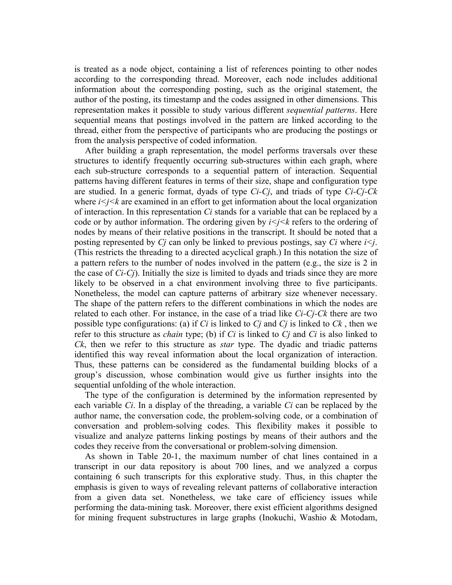is treated as a node object, containing a list of references pointing to other nodes according to the corresponding thread. Moreover, each node includes additional information about the corresponding posting, such as the original statement, the author of the posting, its timestamp and the codes assigned in other dimensions. This representation makes it possible to study various different *sequential patterns*. Here sequential means that postings involved in the pattern are linked according to the thread, either from the perspective of participants who are producing the postings or from the analysis perspective of coded information.

After building a graph representation, the model performs traversals over these structures to identify frequently occurring sub-structures within each graph, where each sub-structure corresponds to a sequential pattern of interaction. Sequential patterns having different features in terms of their size, shape and configuration type are studied. In a generic format, dyads of type *Ci-Cj*, and triads of type *Ci-Cj-Ck* where  $i \le j \le k$  are examined in an effort to get information about the local organization of interaction. In this representation *Ci* stands for a variable that can be replaced by a code or by author information. The ordering given by  $i \leq j \leq k$  refers to the ordering of nodes by means of their relative positions in the transcript. It should be noted that a posting represented by *Cj* can only be linked to previous postings, say *Ci* where *i<j*. (This restricts the threading to a directed acyclical graph.) In this notation the size of a pattern refers to the number of nodes involved in the pattern (e.g., the size is 2 in the case of *Ci-Cj*). Initially the size is limited to dyads and triads since they are more likely to be observed in a chat environment involving three to five participants. Nonetheless, the model can capture patterns of arbitrary size whenever necessary. The shape of the pattern refers to the different combinations in which the nodes are related to each other. For instance, in the case of a triad like *Ci-Cj-Ck* there are two possible type configurations: (a) if *Ci* is linked to *Cj* and *Cj* is linked to *Ck* , then we refer to this structure as *chain* type; (b) if *Ci* is linked to *Cj* and *Ci* is also linked to *Ck*, then we refer to this structure as *star* type. The dyadic and triadic patterns identified this way reveal information about the local organization of interaction. Thus, these patterns can be considered as the fundamental building blocks of a group's discussion, whose combination would give us further insights into the sequential unfolding of the whole interaction.

The type of the configuration is determined by the information represented by each variable *Ci*. In a display of the threading, a variable *Ci* can be replaced by the author name, the conversation code, the problem-solving code, or a combination of conversation and problem-solving codes. This flexibility makes it possible to visualize and analyze patterns linking postings by means of their authors and the codes they receive from the conversational or problem-solving dimension.

As shown in Table 20-1, the maximum number of chat lines contained in a transcript in our data repository is about 700 lines, and we analyzed a corpus containing 6 such transcripts for this explorative study. Thus, in this chapter the emphasis is given to ways of revealing relevant patterns of collaborative interaction from a given data set. Nonetheless, we take care of efficiency issues while performing the data-mining task. Moreover, there exist efficient algorithms designed for mining frequent substructures in large graphs (Inokuchi, Washio & Motodam,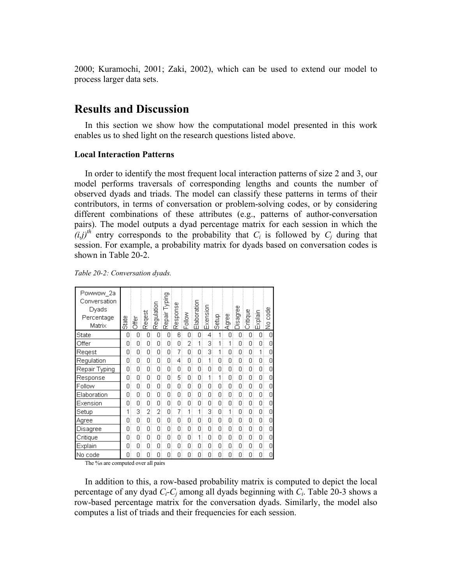2000; Kuramochi, 2001; Zaki, 2002), which can be used to extend our model to process larger data sets.

### **Results and Discussion**

In this section we show how the computational model presented in this work enables us to shed light on the research questions listed above.

#### **Local Interaction Patterns**

In order to identify the most frequent local interaction patterns of size 2 and 3, our model performs traversals of corresponding lengths and counts the number of observed dyads and triads. The model can classify these patterns in terms of their contributors, in terms of conversation or problem-solving codes, or by considering different combinations of these attributes (e.g., patterns of author-conversation pairs). The model outputs a dyad percentage matrix for each session in which the  $(i,j)$ <sup>th'</sup> entry corresponds to the probability that  $C_i$  is followed by  $C_j$  during that session. For example, a probability matrix for dyads based on conversation codes is shown in Table 20-2.

| Powwow_2a<br>Conversation<br>Dyads<br>Percentage<br>Matrix | State | ð<br>Öf | Reqest | Regulation | epair Typing<br>œ | Response | Follow         | Elaboration | Exension | Setup | Agree | Disagree | Critique | Explain | code<br>g |
|------------------------------------------------------------|-------|---------|--------|------------|-------------------|----------|----------------|-------------|----------|-------|-------|----------|----------|---------|-----------|
| State                                                      | 0     | 0       | 0      | 0          | 0                 | 6        | 0              | Ō           | 4        | 1     | 0     | 0        | 0        | 0       | $\cup$    |
| Offer                                                      | O     | Ō       | Ō      | 0          | 0                 | 0        | $\overline{2}$ | 1           | 3        | 1     | 1     | 0        | Ō        | 0       | O         |
| Regest                                                     | 0     | 0       | 0      | 0          | 0                 | 7        | 0              | Ō           | 3        | 1     | 0     | 0        | Ō        | 1       | О         |
| Regulation                                                 | O     | O       | Ō      | 0          | 0                 | 4        | 0              | Ū           | 1        | Ω     | Ω     | Ω        | Ō        | 0       | О         |
| Repair Typing                                              | O     | Ō       | Ō      | 0          | 0                 | 0        | 0              | 0           | Ō        | 0     | 0     | 0        | Ō        | 0       | О         |
| Response                                                   | 0     | 0       | 0      | 0          | 0                 | 5        | 0              | 0           | 1        | 1     | 0     | 0        | 0        | 0       | О         |
| Follow                                                     | 0     | Ō       | Ō      | 0          | 0                 | 0        | 0              | Ō           | Ō        | Ω     | 0     | Ω        | Ō        | 0       | O         |
| Elaboration                                                | O     | O       | 0      | 0          | 0                 | 0        | Ō              | Ō           | Ō        | 0     | 0     | 0        | Ō        | 0       | O         |
| Exension                                                   | Ō     | 0       | 0      | 0          | 0                 | 0        | 0              | 0           | O        | 0     | 0     | 0        | 0        | 0       | О         |
| Setup                                                      | 1     | 3       | 2      | 2          | 0                 | 7        | 1              | 1           | 3        | n     | 1     | Ū        | Ō        | 0       | О         |
| Agree                                                      | O     | O       | Ō      | 0          | 0                 | Ō        | 0              | Ō           | Ō        | Ω     | Ω     | $\Box$   | Ō        | 0       | O         |
| Disagree                                                   | 0     | 0       | 0      | 0          | 0                 | 0        | 0              | 0           | 0        | 0     | 0     | 0        | 0        | 0       | О         |
| Critique                                                   | 0     | Ō       | Ō      | 0          | 0                 | 0        | 0              | 1           | Ō        | 0     | 0     | 0        | Ō        | 0       | О         |
| Explain                                                    | O     | Ō       | Ō      | 0          | 0                 | 0        | Ō              | 0           | ٥        | 0     | 0     | 0        | Ō        | 0       | O         |
| No code                                                    | 0     | Ō       | Ō      | 0          | 0                 | 0        | 0              | Ō           | 0        | 0     | 0     | 0        | Ō        | 0       | O         |

*Table 20-2: Conversation dyads.* 

The % are computed over all pairs

In addition to this, a row-based probability matrix is computed to depict the local percentage of any dyad *Ci-Cj* among all dyads beginning with *Ci*. Table 20-3 shows a row-based percentage matrix for the conversation dyads. Similarly, the model also computes a list of triads and their frequencies for each session.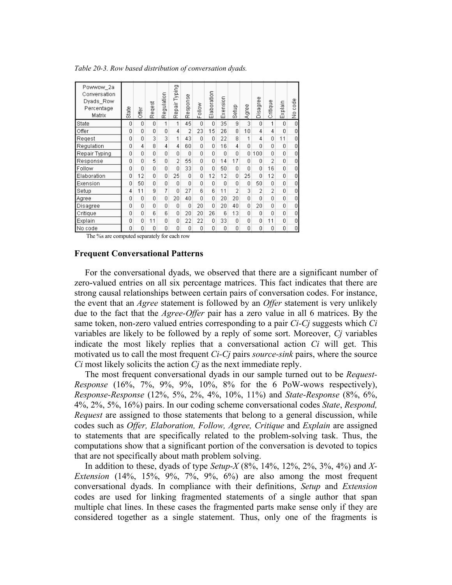*Table 20-3. Row based distribution of conversation dyads.*

| Powwow_2a<br>Conversation<br>Dyads_Row<br>Percentage<br>Matrix | State | Offer          | Regest | egulation<br>œ | epair Typing<br>œ | Response       | ollow<br>ட     | Elaboration | Exension | Setup          | auô<br>E. | Disagree       | Critique       | Explain | No code |
|----------------------------------------------------------------|-------|----------------|--------|----------------|-------------------|----------------|----------------|-------------|----------|----------------|-----------|----------------|----------------|---------|---------|
| State                                                          | 0     | 0              | 0      | 1              | 1                 | 45             | 0              | 0           | 35       | 9              | 3         | 0              | $\mathbf{1}$   | 0       | 0       |
| Offer                                                          | 0     | 0              | 0      | 0              | 4                 | $\overline{2}$ | 23             | 15          | 26       | 8              | 10        | 4              | 4              | 0       | 0       |
| Regest                                                         | 0     | 0              | 3      | 3              | 1                 | 43             | 0              | 0           | 22       | 8              | 1         | 4              | 0              | 11      | 0       |
| Regulation                                                     | 0     | 4              | 8      | 4              | 4                 | 60             | 0              | 0           | 16       | 4              | 0         | 0              | 0              | 0       | 0       |
| Repair Typing                                                  | 0     | 0              | 0      | 0              | 0                 | 0              | 0              | 0           | 0        | 0              | 0         | 100            | 0              | 0       | 0       |
| Response                                                       | 0     | $\overline{0}$ | 5      | 0              | $\overline{2}$    | 55             | $\overline{0}$ | 0           | 14       | 17             | 0         | 0              | $\overline{2}$ | 0       | 0       |
| Follow                                                         | 0     | 0              | 0      | 0              | 0                 | 33             | 0              | 0           | 50       | 0              | 0         | 0              | 16             | 0       | 0       |
| Elaboration                                                    | 0     | 12             | 0      | 0              | 25                | 0              | 0              | 12          | 12       | 0              | 25        | $\overline{0}$ | 12             | 0       | 0       |
| Exension                                                       | 0     | 50             | 0      | 0              | 0                 | 0              | 0              | 0           | 0        | 0              | 0         | 50             | 0              | 0       | 0       |
| Setup                                                          | 4     | 11             | 9      | 7              | 0                 | 27             | 6              | 6           | 11       | $\overline{a}$ | 3         | $\overline{2}$ | $\overline{2}$ | 0       | 0       |
| Agree                                                          | 0     | 0              | 0      | 0              | 20                | 40             | 0              | 0           | 20       | 20             | 0         | 0              | 0              | 0       | 0       |
| Disagree                                                       | 0     | 0              | 0      | 0              | 0                 | 0              | 20             | 0           | 20       | 40             | 0         | 20             | 0              | 0       | 0       |
| Critique                                                       | 0     | 0              | 6      | 6              | 0                 | 20             | 20             | 26          | 6        | 13             | 0         | 0              | 0              | 0       | 0       |
| Explain                                                        | 0     | 0              | 11     | 0              | 0                 | 22             | 22             | 0           | 33       | 0              | 0         | 0              | 11             | 0       | 0       |
| No code                                                        | 0     | 0              | 0      | 0              | 0                 | 0              | 0              | 0           | 0        | 0              | 0         | 0              | 0              | 0       | 0       |

The %s are computed separately for each row

#### **Frequent Conversational Patterns**

For the conversational dyads, we observed that there are a significant number of zero-valued entries on all six percentage matrices. This fact indicates that there are strong causal relationships between certain pairs of conversation codes. For instance, the event that an *Agree* statement is followed by an *Offer* statement is very unlikely due to the fact that the *Agree-Offer* pair has a zero value in all 6 matrices. By the same token, non-zero valued entries corresponding to a pair *Ci-Cj* suggests which *Ci* variables are likely to be followed by a reply of some sort. Moreover, *Cj* variables indicate the most likely replies that a conversational action *Ci* will get. This motivated us to call the most frequent *Ci-Cj* pairs *source-sink* pairs, where the source *Ci* most likely solicits the action *Cj* as the next immediate reply.

The most frequent conversational dyads in our sample turned out to be *Request-Response* (16%, 7%, 9%, 9%, 10%, 8% for the 6 PoW-wows respectively), *Response-Response* (12%, 5%, 2%, 4%, 10%, 11%) and *State-Response* (8%, 6%, 4%, 2%, 5%, 16%) pairs. In our coding scheme conversational codes *State*, *Respond, Request* are assigned to those statements that belong to a general discussion, while codes such as *Offer, Elaboration, Follow, Agree, Critique* and *Explain* are assigned to statements that are specifically related to the problem-solving task. Thus, the computations show that a significant portion of the conversation is devoted to topics that are not specifically about math problem solving.

In addition to these, dyads of type *Setup-X* (8%, 14%, 12%, 2%, 3%, 4%) and *X-Extension* (14%, 15%, 9%, 7%, 9%, 6%) are also among the most frequent conversational dyads. In compliance with their definitions, *Setup* and *Extension* codes are used for linking fragmented statements of a single author that span multiple chat lines. In these cases the fragmented parts make sense only if they are considered together as a single statement. Thus, only one of the fragments is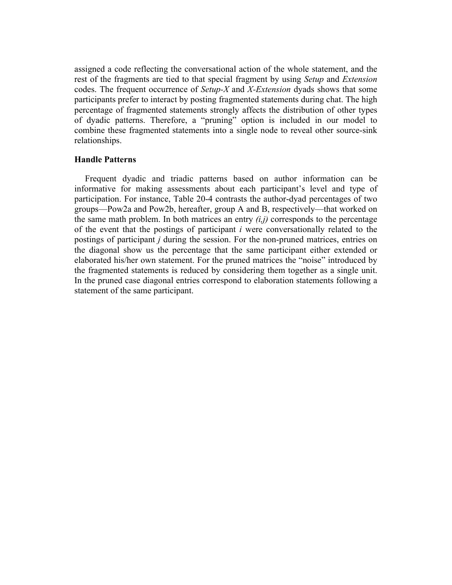assigned a code reflecting the conversational action of the whole statement, and the rest of the fragments are tied to that special fragment by using *Setup* and *Extension* codes. The frequent occurrence of *Setup-X* and *X-Extension* dyads shows that some participants prefer to interact by posting fragmented statements during chat. The high percentage of fragmented statements strongly affects the distribution of other types of dyadic patterns. Therefore, a "pruning" option is included in our model to combine these fragmented statements into a single node to reveal other source-sink relationships.

### **Handle Patterns**

Frequent dyadic and triadic patterns based on author information can be informative for making assessments about each participant's level and type of participation. For instance, Table 20-4 contrasts the author-dyad percentages of two groups—Pow2a and Pow2b, hereafter, group A and B, respectively—that worked on the same math problem. In both matrices an entry  $(i, j)$  corresponds to the percentage of the event that the postings of participant *i* were conversationally related to the postings of participant *j* during the session. For the non-pruned matrices, entries on the diagonal show us the percentage that the same participant either extended or elaborated his/her own statement. For the pruned matrices the "noise" introduced by the fragmented statements is reduced by considering them together as a single unit. In the pruned case diagonal entries correspond to elaboration statements following a statement of the same participant.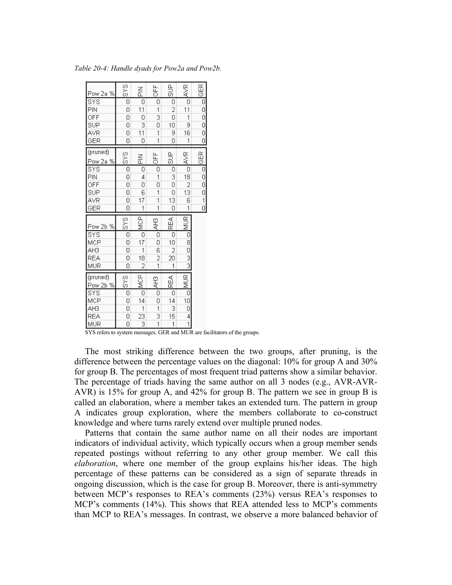| Pow 2a %                                           | <b>SVS</b>     | 즖               | ۵۴F            | $rac{9}{20}$                                   | <b>AVR</b>        | <b>GER</b>     |
|----------------------------------------------------|----------------|-----------------|----------------|------------------------------------------------|-------------------|----------------|
|                                                    | 0              | 0               | 0              | 0                                              | O                 | 0              |
| SYS<br>PIN<br>OFF<br>SUP<br>AVR<br>GER             | Ō              | 11              | $\overline{1}$ | $\frac{2}{0}$                                  | 11                | $\frac{0}{0}$  |
|                                                    | $\overline{0}$ | o               | 3              |                                                | $\overline{1}$    |                |
|                                                    | O              | 3               | O              | 10                                             | 9                 | $\overline{0}$ |
|                                                    | Ō              | $\overline{11}$ | $\overline{1}$ | 9                                              | 16                | $\overline{0}$ |
|                                                    | Ō              | ō               | $\overline{1}$ | Ō                                              | 1                 | 0              |
| (pruned)                                           |                |                 |                |                                                |                   |                |
|                                                    | $S\chi S$      | 즡               | <b>DEF</b>     | $rac{9}{20}$                                   | <b>AVR</b>        | <b>GER</b>     |
|                                                    | 0              | 0               | 0              | 0                                              | Ō                 | Ō              |
|                                                    | 0              | 4               | 1              | $\frac{3}{0}$                                  | $\frac{18}{2}$    | $\overline{0}$ |
|                                                    | o              | ō               | Ō              |                                                |                   | 0              |
|                                                    | 0              | 6               | $\overline{1}$ | Ō                                              |                   |                |
|                                                    | ō              | $\frac{17}{1}$  | $\overline{1}$ | 13                                             | $\frac{13}{6}$    | $\frac{0}{1}$  |
|                                                    | ō              |                 | 1              | ō                                              | $\overline{1}$    |                |
| Pow 2b %                                           | $S\sqrt{S}$    | MCP)            | AH3            | <b>REA</b>                                     | <b>MUR</b>        |                |
|                                                    | 0              |                 | 0              | $\overline{0}$                                 | $\overline{0}$    |                |
|                                                    | 0              | $\frac{0}{17}$  | 0              |                                                |                   |                |
|                                                    | $\frac{0}{0}$  | $\overline{1}$  | 6              | $\begin{array}{c}\n10 \\ 2 \\ 20\n\end{array}$ |                   |                |
|                                                    |                |                 | $\frac{2}{1}$  |                                                | $\frac{8}{3}$     |                |
| SYS<br>MCP<br>AH3<br>REA<br>MUR                    | ō              | $\frac{18}{2}$  |                | $\overline{1}$                                 |                   |                |
| (pruned)                                           |                | MCP             |                |                                                | anwl <sup>o</sup> |                |
| Pow 2b %<br>SYS<br>MCP<br>AH3<br>REA<br>MUR<br>MUR | $5\sqrt{5}$    |                 | AH3            | <b>REA</b>                                     |                   |                |
|                                                    | ō              | $\overline{0}$  | ō              | ō                                              |                   |                |
|                                                    | $\overline{0}$ | 14              | $\overline{0}$ | $\overline{14}$                                | 10                |                |
|                                                    | Ō              | $\overline{1}$  | $\overline{1}$ | 3                                              | $\overline{0}$    |                |
|                                                    | $\overline{0}$ | $\frac{23}{3}$  | 3              | 15                                             | $\frac{4}{1}$     |                |
|                                                    | ō              |                 | $\overline{1}$ | $\overline{1}$                                 |                   |                |

*Table 20-4: Handle dyads for Pow2a and Pow2b.*

SYS refers to system messages. GER and MUR are facilitators of the groups.

The most striking difference between the two groups, after pruning, is the difference between the percentage values on the diagonal: 10% for group A and 30% for group B. The percentages of most frequent triad patterns show a similar behavior. The percentage of triads having the same author on all 3 nodes (e.g., AVR-AVR-AVR) is 15% for group A, and 42% for group B. The pattern we see in group B is called an elaboration, where a member takes an extended turn. The pattern in group A indicates group exploration, where the members collaborate to co-construct knowledge and where turns rarely extend over multiple pruned nodes.

Patterns that contain the same author name on all their nodes are important indicators of individual activity, which typically occurs when a group member sends repeated postings without referring to any other group member. We call this *elaboration*, where one member of the group explains his/her ideas. The high percentage of these patterns can be considered as a sign of separate threads in ongoing discussion, which is the case for group B. Moreover, there is anti-symmetry between MCP's responses to REA's comments (23%) versus REA's responses to MCP's comments (14%). This shows that REA attended less to MCP's comments than MCP to REA's messages. In contrast, we observe a more balanced behavior of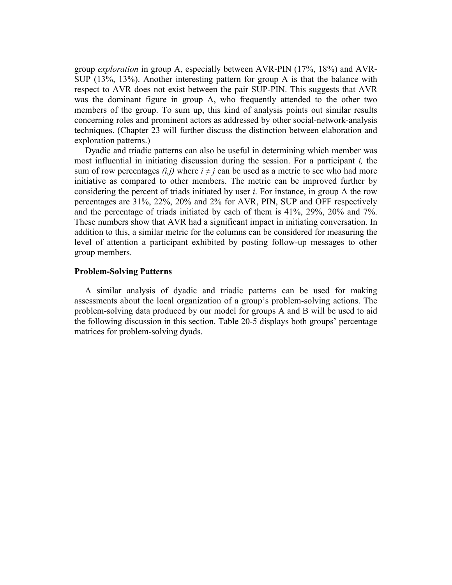group *exploration* in group A, especially between AVR-PIN (17%, 18%) and AVR-SUP (13%, 13%). Another interesting pattern for group A is that the balance with respect to AVR does not exist between the pair SUP-PIN. This suggests that AVR was the dominant figure in group A, who frequently attended to the other two members of the group. To sum up, this kind of analysis points out similar results concerning roles and prominent actors as addressed by other social-network-analysis techniques. (Chapter 23 will further discuss the distinction between elaboration and exploration patterns.)

Dyadic and triadic patterns can also be useful in determining which member was most influential in initiating discussion during the session. For a participant *i,* the sum of row percentages  $(i, j)$  where  $i \neq j$  can be used as a metric to see who had more initiative as compared to other members. The metric can be improved further by considering the percent of triads initiated by user *i*. For instance, in group A the row percentages are 31%, 22%, 20% and 2% for AVR, PIN, SUP and OFF respectively and the percentage of triads initiated by each of them is 41%, 29%, 20% and 7%. These numbers show that AVR had a significant impact in initiating conversation. In addition to this, a similar metric for the columns can be considered for measuring the level of attention a participant exhibited by posting follow-up messages to other group members.

#### **Problem-Solving Patterns**

A similar analysis of dyadic and triadic patterns can be used for making assessments about the local organization of a group's problem-solving actions. The problem-solving data produced by our model for groups A and B will be used to aid the following discussion in this section. Table 20-5 displays both groups' percentage matrices for problem-solving dyads.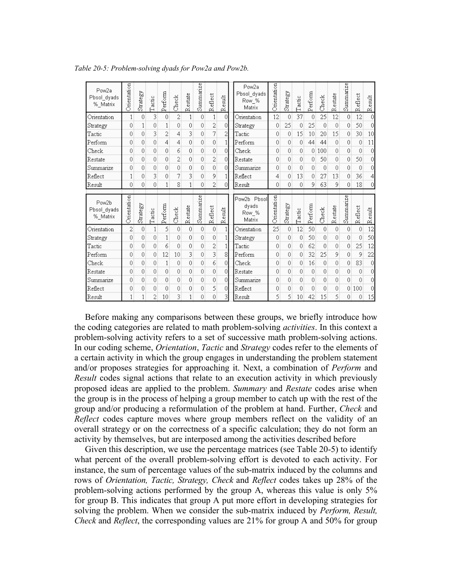| Pow <sub>2a</sub><br>Pbsol_dyads<br>%_Matrix | Orientation    | Strategy      | Tactic             | Perform        | Check          | Restate      | Summarize | Reflect             | esult<br>ឝ     | Pow2a<br>Pbsol_dyads<br>Row_%<br>Matrix | Orientation | Strategy      | Tactic       | Perform  | Check    | Restate  | Summarize | Reflect  | Result         |
|----------------------------------------------|----------------|---------------|--------------------|----------------|----------------|--------------|-----------|---------------------|----------------|-----------------------------------------|-------------|---------------|--------------|----------|----------|----------|-----------|----------|----------------|
| Orientation                                  | 1              | $\theta$      | 3                  | 0              | $\overline{c}$ | 1            | $\theta$  | 1                   | $\Omega$       | Orientation                             | 12          | 0             | 37           | $\theta$ | 25       | 12       | 0         | 12       | $\mathbf 0$    |
| Strategy                                     | 0              | 1             | 0                  | 1              | 0              | 0            | 0         | $\overline{c}$      | 0              | Strategy                                | 0           | 25            | 0            | 25       | 0        | $\theta$ | 0         | 50       | $\hat{0}$      |
| Tactic                                       | 0              | 0             | 3                  | $\overline{c}$ | 4              | 3            | 0         | 7                   | $\overline{c}$ | Tactic                                  | 0           | 0             | 15           | 10       | 20       | 15       | 0         | 30       | 10             |
| Perform                                      | 0              | 0             | 0                  | 4              | 4              | 0            | 0         | 0                   | 1              | Perform                                 | 0           | 0             | 0            | 44       | 44       | 0        | $\theta$  | $\theta$ | 11             |
| Check                                        | 0              | 0             | 0                  | 0              | 6              | 0            | 0         | 0                   | 0              | Check                                   | 0           | 0             | 0            | 0        | 100      | 0        | 0         | 0        | 0              |
| Restate                                      | 0              | 0             | 0                  | Û              | $\overline{c}$ | 0            | 0         | 2                   | 0              | Restate                                 | 0           | 0             | 0            | 0        | 50       | 0        | $\theta$  | 50       | 0              |
| Summarize                                    | 0              | 0             | 0                  | 0              | 0              | 0            | 0         | 0                   | 0l             | Summarize                               | 0           | 0             | 0            | 0        | 0        | 0        | $\theta$  | 0        | $\theta$       |
| Reflect                                      | 1              | 0             | 3                  | 0              | 7              | 3            | 0         | 9                   | 1              | Reflect                                 | 4           | $\hat{0}$     | 13           | 0        | 27       | 13       | 0         | 36       | 4              |
| Result                                       | Û              | Û             | 0                  |                | 8              |              | 0         | 2                   | 0              | Result                                  | 0           | 0             | 0            | 9        | 63       | 9        | 0         | 18       | 0              |
|                                              |                |               |                    |                |                |              |           |                     |                |                                         |             |               |              |          |          |          |           |          |                |
| Pow2b<br>Pbsol_dyads<br>%_Matrix             | Orientation    |               | actic<br>$\mapsto$ | Perform        | Check          |              | Summarize |                     | esult<br>₫     | Pow2b Pbsol<br>dyads<br>Row %<br>Matrix | Orientation |               |              | Perform  | Check    | Restate  | Summarize | Reflect  |                |
| Orientation                                  | $\overline{c}$ | Strategy<br>0 | 1                  | 5              | 0              | Restate<br>0 | 0         | Reflect<br>$\theta$ |                | Orientation                             | 25          | Strategy<br>0 | Tactic<br>12 | 50       | 0        | 0        | $\theta$  | $\theta$ | Result<br>12   |
| Strategy                                     | 0              | 0             | 0                  | 1              | 0              | 0            | 0         | 0                   | $\frac{1}{2}$  | Strategy                                | 0           | 0             | $\theta$     | 50       | 0        | 0        | 0         | $\theta$ | 50             |
| Tactic                                       | 0              | 0             | 0                  | 6              | 0              | $\theta$     | 0         | 2                   | 1              | Tactic                                  | 0           | Û             | 0            | 62       | $\theta$ | 0        | $\theta$  | 25       | 12             |
| Perform                                      | 0              | 0             | 0                  | 12             | 10             | 3            | 0         | 3                   | 8              | Perform                                 | 0           | 0             | 0            | 32       | 25       | 9        | $\theta$  | 9        | 22             |
| Check                                        | 0              | 0             | 0                  | 1              | Û              | $\theta$     | 0         | 6                   | 0              | Check                                   | 0           | Û             | 0            | 16       | $\theta$ | 0        | $\theta$  | 83       | $\overline{0}$ |
| Restate                                      | 0              | 0             | 0                  | Ô              | 0              | $\theta$     | 0         | 0                   | 0              | Restate                                 | 0           | 0             | 0            | 0        | 0        | 0        | 0         | 0        | $\overline{0}$ |
| Summarize                                    | Û              | 0             | 0                  | Û              | 0              | 0            | 0         | 0                   | 0              | Summarize                               | 0           | 0             | 0            | 0        | 0        | 0        | 0         | 0        | $\overline{0}$ |
| Reflect                                      | 0              | 0             | 0                  | Ô              | 0              | $\theta$     | 0         | 5                   | 0l             | Reflect                                 | 0           | 0             | 0            | $\theta$ | 0        | 0        | $\theta$  | 100      | $\theta$       |

*Table 20-5: Problem-solving dyads for Pow2a and Pow2b.*

Before making any comparisons between these groups, we briefly introduce how the coding categories are related to math problem-solving *activities*. In this context a problem-solving activity refers to a set of successive math problem-solving actions. In our coding scheme, *Orientation*, *Tactic* and *Strategy* codes refer to the elements of a certain activity in which the group engages in understanding the problem statement and/or proposes strategies for approaching it. Next, a combination of *Perform* and *Result* codes signal actions that relate to an execution activity in which previously proposed ideas are applied to the problem. *Summary* and *Restate* codes arise when the group is in the process of helping a group member to catch up with the rest of the group and/or producing a reformulation of the problem at hand. Further, *Check* and *Reflect* codes capture moves where group members reflect on the validity of an overall strategy or on the correctness of a specific calculation; they do not form an activity by themselves, but are interposed among the activities described before

Given this description, we use the percentage matrices (see Table 20-5) to identify what percent of the overall problem-solving effort is devoted to each activity. For instance, the sum of percentage values of the sub-matrix induced by the columns and rows of *Orientation, Tactic, Strategy, Check* and *Reflect* codes takes up 28% of the problem-solving actions performed by the group A, whereas this value is only 5% for group B. This indicates that group A put more effort in developing strategies for solving the problem. When we consider the sub-matrix induced by *Perform, Result, Check* and *Reflect*, the corresponding values are 21% for group A and 50% for group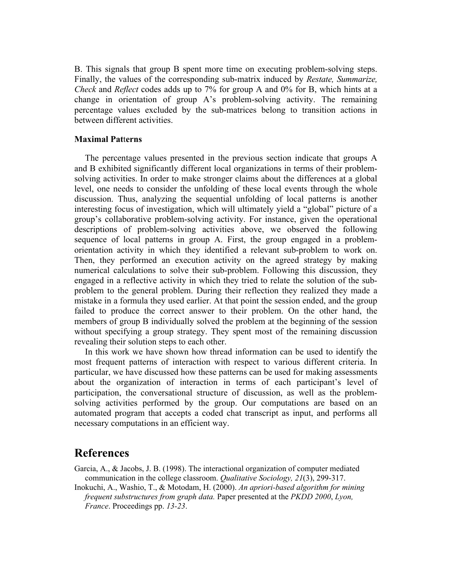B. This signals that group B spent more time on executing problem-solving steps. Finally, the values of the corresponding sub-matrix induced by *Restate, Summarize, Check* and *Reflect* codes adds up to 7% for group A and 0% for B, which hints at a change in orientation of group A's problem-solving activity. The remaining percentage values excluded by the sub-matrices belong to transition actions in between different activities.

#### **Maximal Pat**t**erns**

The percentage values presented in the previous section indicate that groups A and B exhibited significantly different local organizations in terms of their problemsolving activities. In order to make stronger claims about the differences at a global level, one needs to consider the unfolding of these local events through the whole discussion. Thus, analyzing the sequential unfolding of local patterns is another interesting focus of investigation, which will ultimately yield a "global" picture of a group's collaborative problem-solving activity. For instance, given the operational descriptions of problem-solving activities above, we observed the following sequence of local patterns in group A. First, the group engaged in a problemorientation activity in which they identified a relevant sub-problem to work on. Then, they performed an execution activity on the agreed strategy by making numerical calculations to solve their sub-problem. Following this discussion, they engaged in a reflective activity in which they tried to relate the solution of the subproblem to the general problem. During their reflection they realized they made a mistake in a formula they used earlier. At that point the session ended, and the group failed to produce the correct answer to their problem. On the other hand, the members of group B individually solved the problem at the beginning of the session without specifying a group strategy. They spent most of the remaining discussion revealing their solution steps to each other.

In this work we have shown how thread information can be used to identify the most frequent patterns of interaction with respect to various different criteria. In particular, we have discussed how these patterns can be used for making assessments about the organization of interaction in terms of each participant's level of participation, the conversational structure of discussion, as well as the problemsolving activities performed by the group. Our computations are based on an automated program that accepts a coded chat transcript as input, and performs all necessary computations in an efficient way.

### **References**

Garcia, A., & Jacobs, J. B. (1998). The interactional organization of computer mediated communication in the college classroom. *Qualitative Sociology, 21*(3), 299-317.

Inokuchi, A., Washio, T., & Motodam, H. (2000). *An apriori-based algorithm for mining frequent substructures from graph data.* Paper presented at the *PKDD 2000*, *Lyon, France*. Proceedings pp. *13-23*.